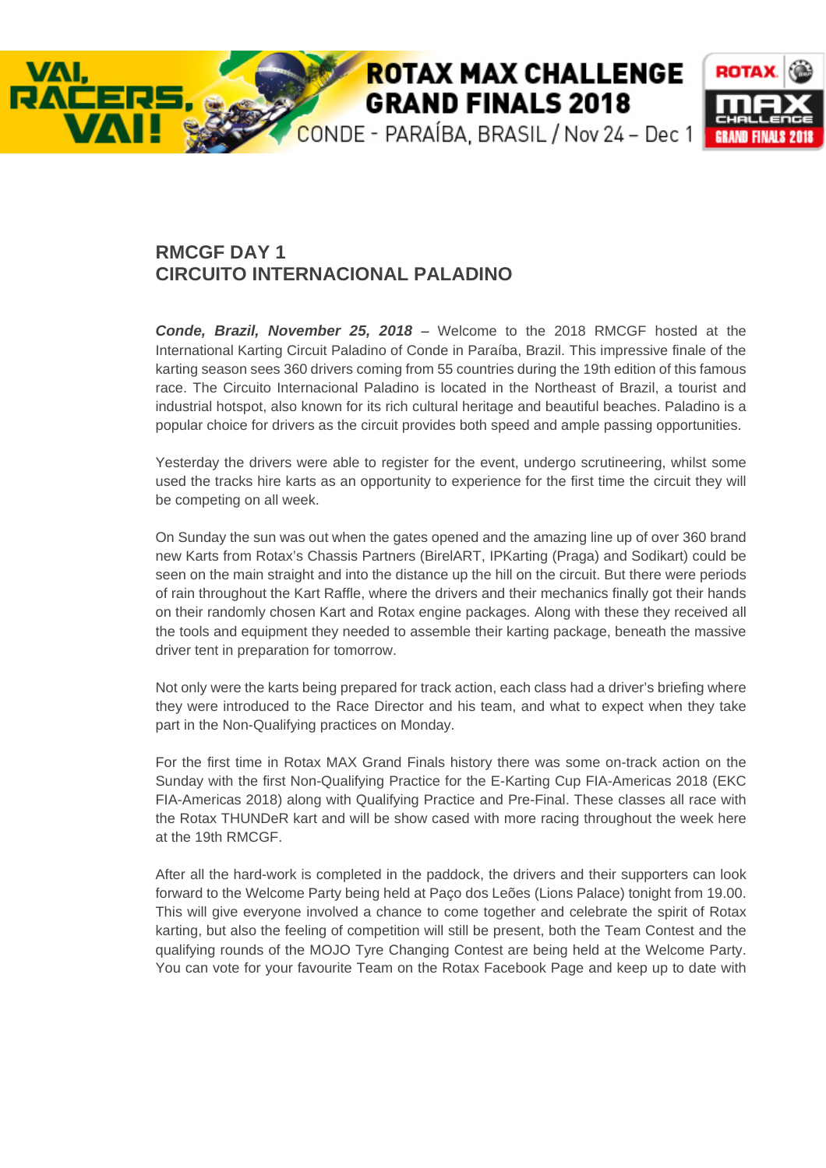## **ROTAX MAX CHALLENGE GRAND FINALS 2018**

CONDE - PARAÍBA, BRASIL / Nov 24 - Dec 1



## **RMCGF DAY 1 CIRCUITO INTERNACIONAL PALADINO**

VAI.

*Conde, Brazil, November 25, 2018 –* Welcome to the 2018 RMCGF hosted at the International Karting Circuit Paladino of Conde in Paraíba, Brazil. This impressive finale of the karting season sees 360 drivers coming from 55 countries during the 19th edition of this famous race. The Circuito Internacional Paladino is located in the Northeast of Brazil, a tourist and industrial hotspot, also known for its rich cultural heritage and beautiful beaches. Paladino is a popular choice for drivers as the circuit provides both speed and ample passing opportunities.

Yesterday the drivers were able to register for the event, undergo scrutineering, whilst some used the tracks hire karts as an opportunity to experience for the first time the circuit they will be competing on all week.

On Sunday the sun was out when the gates opened and the amazing line up of over 360 brand new Karts from Rotax's Chassis Partners (BirelART, IPKarting (Praga) and Sodikart) could be seen on the main straight and into the distance up the hill on the circuit. But there were periods of rain throughout the Kart Raffle, where the drivers and their mechanics finally got their hands on their randomly chosen Kart and Rotax engine packages. Along with these they received all the tools and equipment they needed to assemble their karting package, beneath the massive driver tent in preparation for tomorrow.

Not only were the karts being prepared for track action, each class had a driver's briefing where they were introduced to the Race Director and his team, and what to expect when they take part in the Non-Qualifying practices on Monday.

For the first time in Rotax MAX Grand Finals history there was some on-track action on the Sunday with the first Non-Qualifying Practice for the E-Karting Cup FIA-Americas 2018 (EKC FIA-Americas 2018) along with Qualifying Practice and Pre-Final. These classes all race with the Rotax THUNDeR kart and will be show cased with more racing throughout the week here at the 19th RMCGF.

After all the hard-work is completed in the paddock, the drivers and their supporters can look forward to the Welcome Party being held at Paço dos Leões (Lions Palace) tonight from 19.00. This will give everyone involved a chance to come together and celebrate the spirit of Rotax karting, but also the feeling of competition will still be present, both the Team Contest and the qualifying rounds of the MOJO Tyre Changing Contest are being held at the Welcome Party. You can vote for your favourite Team on the Rotax Facebook Page and keep up to date with